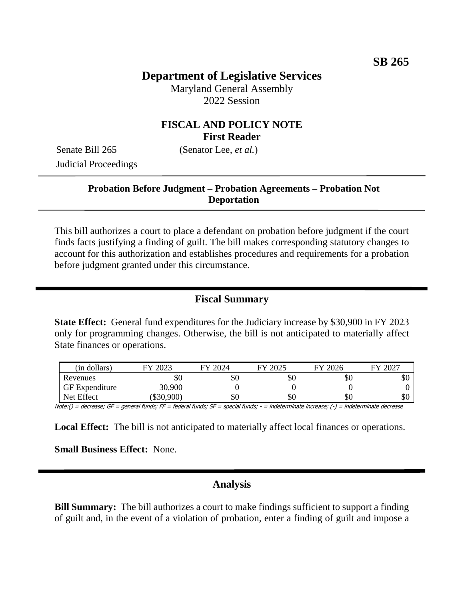# **Department of Legislative Services**

Maryland General Assembly 2022 Session

## **FISCAL AND POLICY NOTE First Reader**

Senate Bill 265 (Senator Lee, *et al.*) Judicial Proceedings

## **Probation Before Judgment – Probation Agreements – Probation Not Deportation**

This bill authorizes a court to place a defendant on probation before judgment if the court finds facts justifying a finding of guilt. The bill makes corresponding statutory changes to account for this authorization and establishes procedures and requirements for a probation before judgment granted under this circumstance.

## **Fiscal Summary**

**State Effect:** General fund expenditures for the Judiciary increase by \$30,900 in FY 2023 only for programming changes. Otherwise, the bill is not anticipated to materially affect State finances or operations.

| (in dollars)          | 2023<br>ГV | FY 2024 | 2025 ` | FY 2026 | 2027<br>FV |
|-----------------------|------------|---------|--------|---------|------------|
| Revenues              | DЛ         | \$0     | \$0    | \$0     | ФU         |
| <b>GF</b> Expenditure | 30,900     |         |        |         |            |
| Net Effect            | \$30,900   | \$0     | \$0    | \$0     | эU         |

Note:() = decrease; GF = general funds; FF = federal funds; SF = special funds; - = indeterminate increase; (-) = indeterminate decrease

**Local Effect:** The bill is not anticipated to materially affect local finances or operations.

**Small Business Effect:** None.

#### **Analysis**

**Bill Summary:** The bill authorizes a court to make findings sufficient to support a finding of guilt and, in the event of a violation of probation, enter a finding of guilt and impose a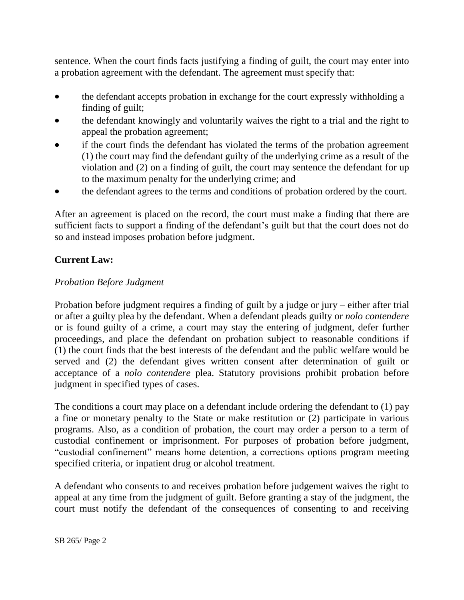sentence. When the court finds facts justifying a finding of guilt, the court may enter into a probation agreement with the defendant. The agreement must specify that:

- the defendant accepts probation in exchange for the court expressly withholding a finding of guilt;
- the defendant knowingly and voluntarily waives the right to a trial and the right to appeal the probation agreement;
- if the court finds the defendant has violated the terms of the probation agreement (1) the court may find the defendant guilty of the underlying crime as a result of the violation and (2) on a finding of guilt, the court may sentence the defendant for up to the maximum penalty for the underlying crime; and
- the defendant agrees to the terms and conditions of probation ordered by the court.

After an agreement is placed on the record, the court must make a finding that there are sufficient facts to support a finding of the defendant's guilt but that the court does not do so and instead imposes probation before judgment.

## **Current Law:**

#### *Probation Before Judgment*

Probation before judgment requires a finding of guilt by a judge or jury – either after trial or after a guilty plea by the defendant. When a defendant pleads guilty or *nolo contendere* or is found guilty of a crime, a court may stay the entering of judgment, defer further proceedings, and place the defendant on probation subject to reasonable conditions if (1) the court finds that the best interests of the defendant and the public welfare would be served and (2) the defendant gives written consent after determination of guilt or acceptance of a *nolo contendere* plea. Statutory provisions prohibit probation before judgment in specified types of cases.

The conditions a court may place on a defendant include ordering the defendant to (1) pay a fine or monetary penalty to the State or make restitution or (2) participate in various programs. Also, as a condition of probation, the court may order a person to a term of custodial confinement or imprisonment. For purposes of probation before judgment, "custodial confinement" means home detention, a corrections options program meeting specified criteria, or inpatient drug or alcohol treatment.

A defendant who consents to and receives probation before judgement waives the right to appeal at any time from the judgment of guilt. Before granting a stay of the judgment, the court must notify the defendant of the consequences of consenting to and receiving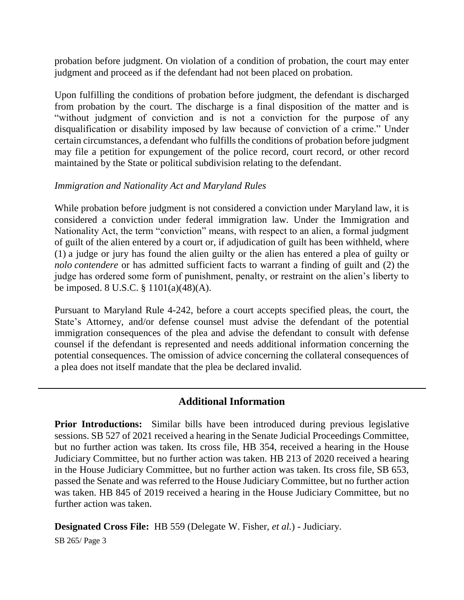probation before judgment. On violation of a condition of probation, the court may enter judgment and proceed as if the defendant had not been placed on probation.

Upon fulfilling the conditions of probation before judgment, the defendant is discharged from probation by the court. The discharge is a final disposition of the matter and is "without judgment of conviction and is not a conviction for the purpose of any disqualification or disability imposed by law because of conviction of a crime." Under certain circumstances, a defendant who fulfills the conditions of probation before judgment may file a petition for expungement of the police record, court record, or other record maintained by the State or political subdivision relating to the defendant.

#### *Immigration and Nationality Act and Maryland Rules*

While probation before judgment is not considered a conviction under Maryland law, it is considered a conviction under federal immigration law. Under the Immigration and Nationality Act, the term "conviction" means, with respect to an alien, a formal judgment of guilt of the alien entered by a court or, if adjudication of guilt has been withheld, where (1) a judge or jury has found the alien guilty or the alien has entered a plea of guilty or *nolo contendere* or has admitted sufficient facts to warrant a finding of guilt and (2) the judge has ordered some form of punishment, penalty, or restraint on the alien's liberty to be imposed. 8 U.S.C. § 1101(a)(48)(A).

Pursuant to Maryland Rule 4-242, before a court accepts specified pleas, the court, the State's Attorney, and/or defense counsel must advise the defendant of the potential immigration consequences of the plea and advise the defendant to consult with defense counsel if the defendant is represented and needs additional information concerning the potential consequences. The omission of advice concerning the collateral consequences of a plea does not itself mandate that the plea be declared invalid.

#### **Additional Information**

**Prior Introductions:** Similar bills have been introduced during previous legislative sessions. SB 527 of 2021 received a hearing in the Senate Judicial Proceedings Committee, but no further action was taken. Its cross file, HB 354, received a hearing in the House Judiciary Committee, but no further action was taken. HB 213 of 2020 received a hearing in the House Judiciary Committee, but no further action was taken. Its cross file, SB 653, passed the Senate and was referred to the House Judiciary Committee, but no further action was taken. HB 845 of 2019 received a hearing in the House Judiciary Committee, but no further action was taken.

**Designated Cross File:** HB 559 (Delegate W. Fisher, *et al.*) - Judiciary.

SB 265/ Page 3